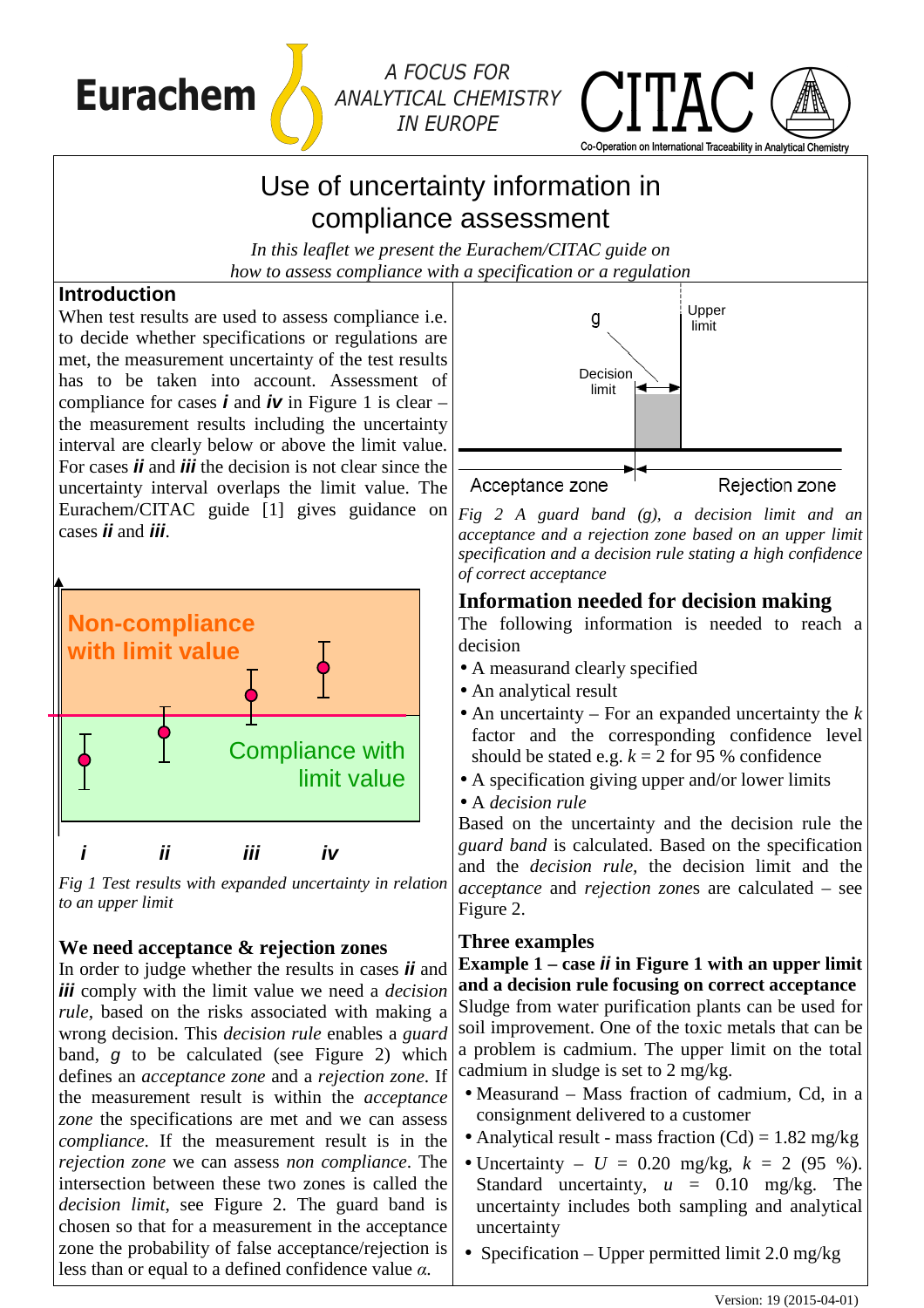

# *ANALYTICAL CHEMISTRY IN EUROPE*



# Use of uncertainty information in compliance assessment

*In this leaflet we present the Eurachem/CITAC guide on how to assess compliance with a specification or a regulation* 

#### **Introduction**

When test results are used to assess compliance i.e. to decide whether specifications or regulations are met, the measurement uncertainty of the test results has to be taken into account. Assessment of compliance for cases **i** and **iv** in Figure 1 is clear – the measurement results including the uncertainty interval are clearly below or above the limit value. For cases **ii** and **iii** the decision is not clear since the uncertainty interval overlaps the limit value. The Eurachem/CITAC guide [1] gives guidance on cases **ii** and **iii**.



*Fig 1 Test results with expanded uncertainty in relation to an upper limit*

## **We need acceptance & rejection zones**

In order to judge whether the results in cases **ii** and **iii** comply with the limit value we need a *decision rule,* based on the risks associated with making a wrong decision. This *decision rule* enables a *guard* band, g to be calculated (see Figure 2) which defines an *acceptance zone* and a *rejection zone*. If the measurement result is within the *acceptance zone* the specifications are met and we can assess *compliance*. If the measurement result is in the *rejection zone* we can assess *non compliance*. The intersection between these two zones is called the *decision limit*, see Figure 2. The guard band is chosen so that for a measurement in the acceptance zone the probability of false acceptance/rejection is less than or equal to a defined confidence value *α.*



*Fig 2 A guard band (*g*), a decision limit and an acceptance and a rejection zone based on an upper limit specification and a decision rule stating a high confidence of correct acceptance* 

### **Information needed for decision making**

The following information is needed to reach a decision

- A measurand clearly specified
- An analytical result
- An uncertainty For an expanded uncertainty the *k* factor and the corresponding confidence level should be stated e.g.  $k = 2$  for 95 % confidence
- A specification giving upper and/or lower limits
- A *decision rule*

Based on the uncertainty and the decision rule the *guard band* is calculated. Based on the specification and the *decision rule,* the decision limit and the *acceptance* and *rejection zone*s are calculated – see Figure 2.

#### **Three examples**

**Example 1 – case ii in Figure 1 with an upper limit and a decision rule focusing on correct acceptance**  Sludge from water purification plants can be used for soil improvement. One of the toxic metals that can be a problem is cadmium. The upper limit on the total cadmium in sludge is set to 2 mg/kg.

- Measurand Mass fraction of cadmium, Cd, in a consignment delivered to a customer
- Analytical result mass fraction  $(Cd) = 1.82$  mg/kg
- Uncertainty  $U = 0.20$  mg/kg,  $k = 2 (95 %).$ Standard uncertainty,  $u = 0.10$  mg/kg. The uncertainty includes both sampling and analytical uncertainty
- Specification Upper permitted limit  $2.0 \text{ mg/kg}$